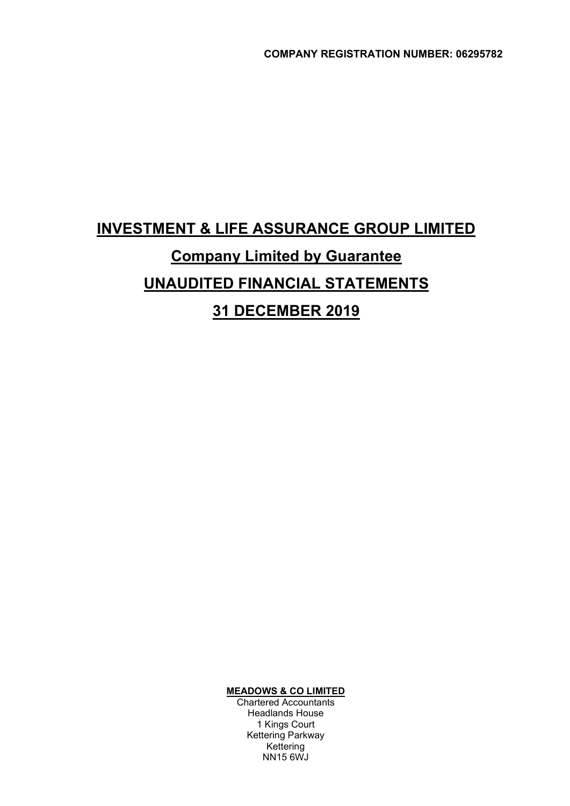# INVESTMENT & LIFE ASSURANCE GROUP LIMITED Company Limited by Guarantee UNAUDITED FINANCIAL STATEMENTS 31 DECEMBER 2019

MEADOWS & CO LIMITED

 Chartered Accountants Headlands House 1 Kings Court Kettering Parkway Kettering NN15 6WJ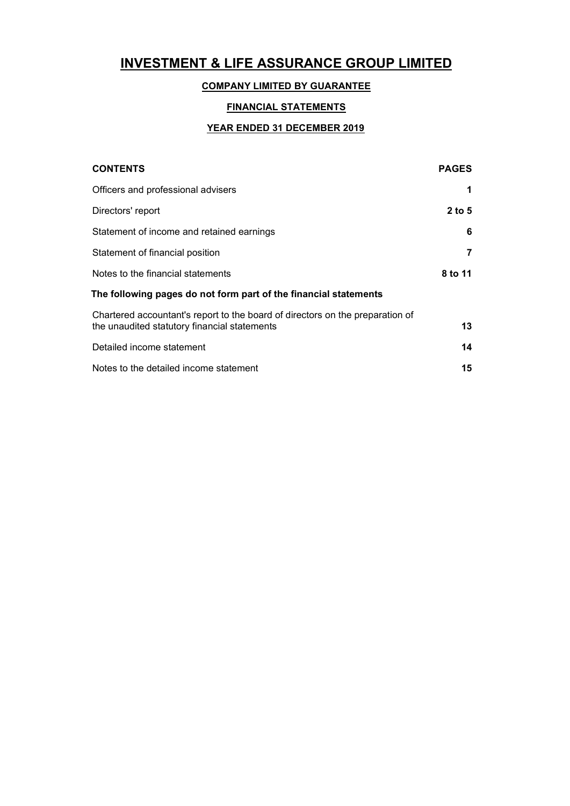### COMPANY LIMITED BY GUARANTEE

### FINANCIAL STATEMENTS

### YEAR ENDED 31 DECEMBER 2019

| <b>CONTENTS</b>                                                                                                               | <b>PAGES</b> |
|-------------------------------------------------------------------------------------------------------------------------------|--------------|
| Officers and professional advisers                                                                                            |              |
| Directors' report                                                                                                             | $2$ to 5     |
| Statement of income and retained earnings                                                                                     | 6            |
| Statement of financial position                                                                                               | 7            |
| Notes to the financial statements                                                                                             | 8 to 11      |
| The following pages do not form part of the financial statements                                                              |              |
| Chartered accountant's report to the board of directors on the preparation of<br>the unaudited statutory financial statements | 13           |
| Detailed income statement                                                                                                     | 14           |
| Notes to the detailed income statement                                                                                        | 15           |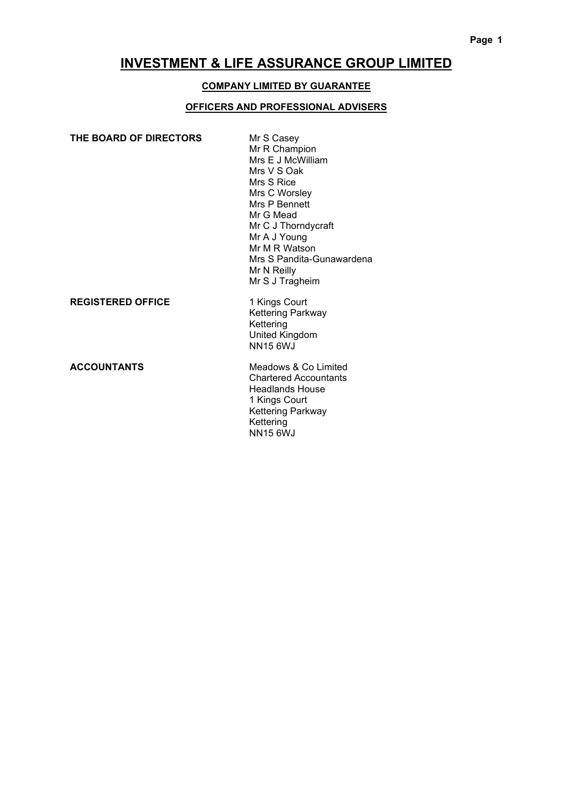### COMPANY LIMITED BY GUARANTEE

#### OFFICERS AND PROFESSIONAL ADVISERS

| THE BOARD OF DIRECTORS   | Mr S Casey<br>Mr R Champion<br>Mrs E J McWilliam<br>Mrs V S Oak<br>Mrs S Rice<br>Mrs C Worsley<br>Mrs P Bennett<br>Mr G Mead<br>Mr C J Thorndycraft<br>Mr A J Young<br>Mr M R Watson<br>Mrs S Pandita-Gunawardena<br>Mr N Reilly<br>Mr S J Tragheim |
|--------------------------|-----------------------------------------------------------------------------------------------------------------------------------------------------------------------------------------------------------------------------------------------------|
| <b>REGISTERED OFFICE</b> | 1 Kings Court<br>Kettering Parkway<br>Kettering<br>United Kingdom<br><b>NN15 6WJ</b>                                                                                                                                                                |
| <b>ACCOUNTANTS</b>       | Meadows & Co Limited                                                                                                                                                                                                                                |

OUNTANTS

 Chartered Accountants Headlands House 1 Kings Court Kettering Parkway **Kettering** (1999) **Kettering** NN15 6WJ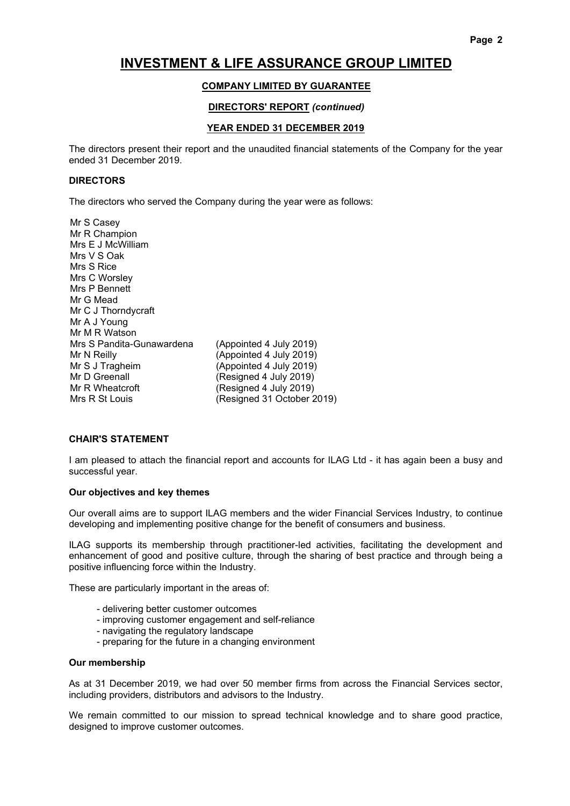#### COMPANY LIMITED BY GUARANTEE

#### DIRECTORS' REPORT (continued)

#### YEAR ENDED 31 DECEMBER 2019

The directors present their report and the unaudited financial statements of the Company for the year ended 31 December 2019.

#### DIRECTORS

The directors who served the Company during the year were as follows:

Mr S Casey Mr R Champion Mrs E J McWilliam Mrs V S Oak Mrs S Rice Mrs C Worsley Mrs P Bennett Mr G Mead Mr C J Thorndycraft Mr A J Young Mr M R Watson Mrs S Pandita-Gunawardena (Appointed 4 July 2019) Mr N Reilly **(Appointed 4 July 2019)** Mr S J Tragheim (Appointed 4 July 2019) Mr D Greenall (Resigned 4 July 2019) Mr R Wheatcroft (Resigned 4 July 2019) Mrs R St Louis (Resigned 31 October 2019)

#### CHAIR'S STATEMENT

I am pleased to attach the financial report and accounts for ILAG Ltd - it has again been a busy and successful year.

#### Our objectives and key themes

Our overall aims are to support ILAG members and the wider Financial Services Industry, to continue developing and implementing positive change for the benefit of consumers and business.

ILAG supports its membership through practitioner-led activities, facilitating the development and enhancement of good and positive culture, through the sharing of best practice and through being a positive influencing force within the Industry.

These are particularly important in the areas of:

- delivering better customer outcomes
- improving customer engagement and self-reliance
- navigating the regulatory landscape
- preparing for the future in a changing environment

#### Our membership

As at 31 December 2019, we had over 50 member firms from across the Financial Services sector, including providers, distributors and advisors to the Industry.

We remain committed to our mission to spread technical knowledge and to share good practice, designed to improve customer outcomes.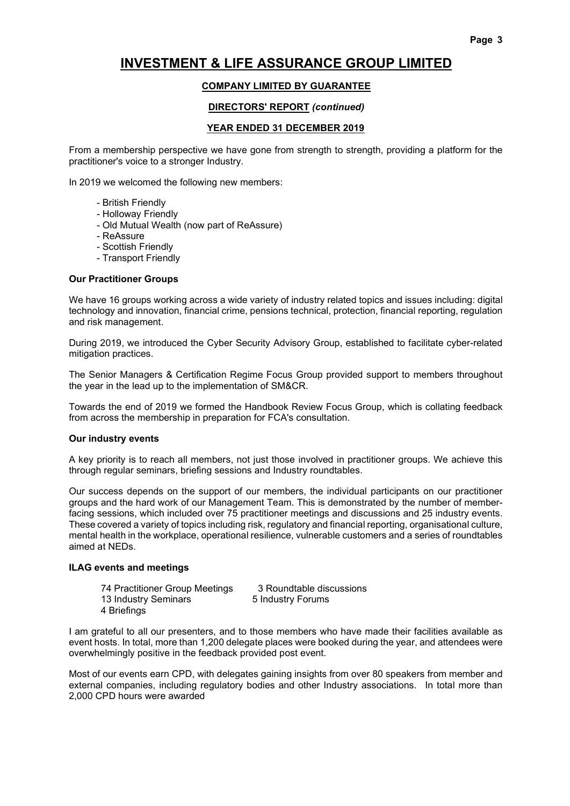### COMPANY LIMITED BY GUARANTEE

#### DIRECTORS' REPORT (continued)

#### YEAR ENDED 31 DECEMBER 2019

From a membership perspective we have gone from strength to strength, providing a platform for the practitioner's voice to a stronger Industry.

In 2019 we welcomed the following new members:

- British Friendly
- Holloway Friendly
- Old Mutual Wealth (now part of ReAssure)
- ReAssure
- Scottish Friendly
- Transport Friendly

#### Our Practitioner Groups

We have 16 groups working across a wide variety of industry related topics and issues including: digital technology and innovation, financial crime, pensions technical, protection, financial reporting, regulation and risk management.

During 2019, we introduced the Cyber Security Advisory Group, established to facilitate cyber-related mitigation practices.

The Senior Managers & Certification Regime Focus Group provided support to members throughout the year in the lead up to the implementation of SM&CR.

Towards the end of 2019 we formed the Handbook Review Focus Group, which is collating feedback from across the membership in preparation for FCA's consultation.

#### Our industry events

A key priority is to reach all members, not just those involved in practitioner groups. We achieve this through regular seminars, briefing sessions and Industry roundtables.

Our success depends on the support of our members, the individual participants on our practitioner groups and the hard work of our Management Team. This is demonstrated by the number of memberfacing sessions, which included over 75 practitioner meetings and discussions and 25 industry events. These covered a variety of topics including risk, regulatory and financial reporting, organisational culture, mental health in the workplace, operational resilience, vulnerable customers and a series of roundtables aimed at NEDs.

#### ILAG events and meetings

| 74 Practitioner Group Meetings | 3 Roundtable discussions |
|--------------------------------|--------------------------|
| 13 Industry Seminars           | 5 Industry Forums        |
| 4 Briefings                    |                          |

I am grateful to all our presenters, and to those members who have made their facilities available as event hosts. In total, more than 1,200 delegate places were booked during the year, and attendees were overwhelmingly positive in the feedback provided post event.

Most of our events earn CPD, with delegates gaining insights from over 80 speakers from member and external companies, including regulatory bodies and other Industry associations. In total more than 2,000 CPD hours were awarded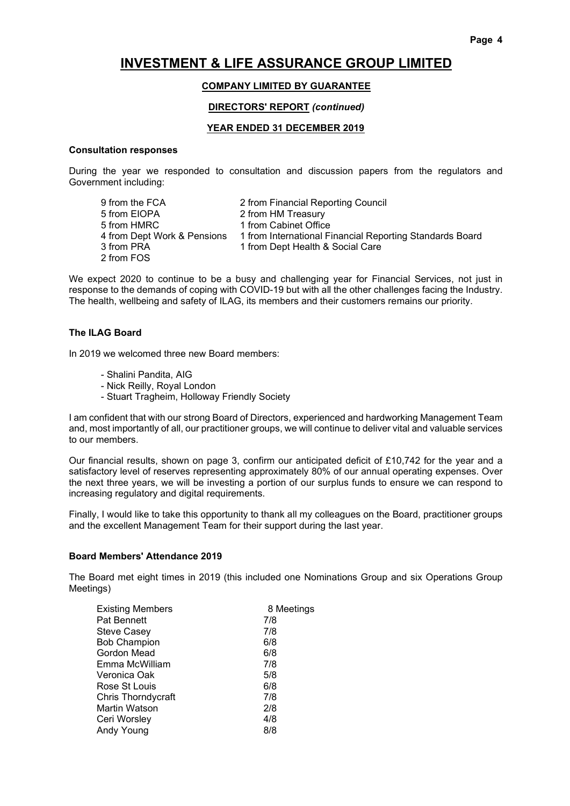#### COMPANY LIMITED BY GUARANTEE

#### DIRECTORS' REPORT (continued)

#### YEAR ENDED 31 DECEMBER 2019

#### Consultation responses

During the year we responded to consultation and discussion papers from the regulators and Government including:

| 9 from the FCA              | 2 from Financial Reporting Council                       |
|-----------------------------|----------------------------------------------------------|
| 5 from EIOPA                | 2 from HM Treasury                                       |
| 5 from HMRC                 | 1 from Cabinet Office                                    |
| 4 from Dept Work & Pensions | 1 from International Financial Reporting Standards Board |
| 3 from PRA                  | 1 from Dept Health & Social Care                         |
| 2 from FOS                  |                                                          |

We expect 2020 to continue to be a busy and challenging year for Financial Services, not just in response to the demands of coping with COVID-19 but with all the other challenges facing the Industry. The health, wellbeing and safety of ILAG, its members and their customers remains our priority.

#### The ILAG Board

In 2019 we welcomed three new Board members:

- Shalini Pandita, AIG
- Nick Reilly, Royal London
- Stuart Tragheim, Holloway Friendly Society

I am confident that with our strong Board of Directors, experienced and hardworking Management Team and, most importantly of all, our practitioner groups, we will continue to deliver vital and valuable services to our members.

Our financial results, shown on page 3, confirm our anticipated deficit of £10,742 for the year and a satisfactory level of reserves representing approximately 80% of our annual operating expenses. Over the next three years, we will be investing a portion of our surplus funds to ensure we can respond to increasing regulatory and digital requirements.

Finally, I would like to take this opportunity to thank all my colleagues on the Board, practitioner groups and the excellent Management Team for their support during the last year.

#### Board Members' Attendance 2019

The Board met eight times in 2019 (this included one Nominations Group and six Operations Group Meetings)

| <b>Existing Members</b>   | 8 Meetings |
|---------------------------|------------|
| <b>Pat Bennett</b>        | 7/8        |
| <b>Steve Casey</b>        | 7/8        |
| <b>Bob Champion</b>       | 6/8        |
| Gordon Mead               | 6/8        |
| Emma McWilliam            | 7/8        |
| Veronica Oak              | 5/8        |
| Rose St Louis             | 6/8        |
| <b>Chris Thorndycraft</b> | 7/8        |
| Martin Watson             | 2/8        |
| Ceri Worsley              | 4/8        |
| Andy Young                | 8/8        |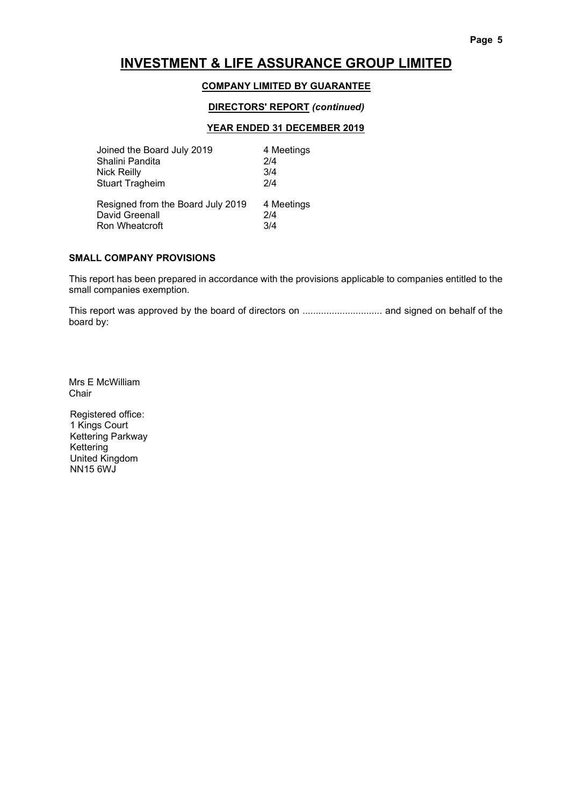#### COMPANY LIMITED BY GUARANTEE

#### DIRECTORS' REPORT (continued)

#### YEAR ENDED 31 DECEMBER 2019

| Joined the Board July 2019                                            | 4 Meetings               |
|-----------------------------------------------------------------------|--------------------------|
| Shalini Pandita                                                       | 2/4                      |
| <b>Nick Reilly</b>                                                    | 3/4                      |
| <b>Stuart Tragheim</b>                                                | 2/4                      |
| Resigned from the Board July 2019<br>David Greenall<br>Ron Wheatcroft | 4 Meetings<br>2/4<br>3/4 |

#### SMALL COMPANY PROVISIONS

This report has been prepared in accordance with the provisions applicable to companies entitled to the small companies exemption.

This report was approved by the board of directors on .............................. and signed on behalf of the board by:

Mrs E McWilliam Chair

Registered office: 1 Kings Court Kettering Parkway Kettering United Kingdom NN15 6WJ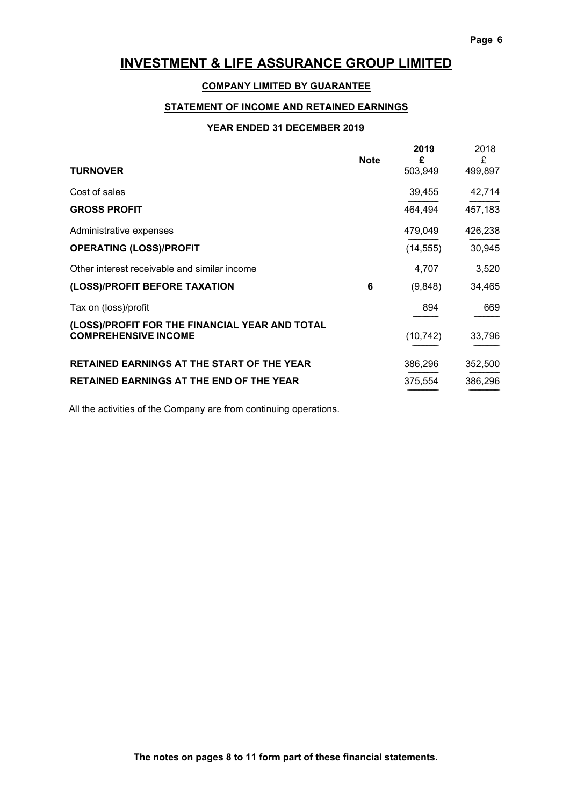### COMPANY LIMITED BY GUARANTEE

### STATEMENT OF INCOME AND RETAINED EARNINGS

#### YEAR ENDED 31 DECEMBER 2019

| <b>TURNOVER</b>                                                               | <b>Note</b> | 2019<br>£<br>503,949 | 2018<br>£<br>499,897 |
|-------------------------------------------------------------------------------|-------------|----------------------|----------------------|
| Cost of sales                                                                 |             | 39,455               | 42,714               |
| <b>GROSS PROFIT</b>                                                           |             | 464,494              | 457,183              |
| Administrative expenses                                                       |             | 479,049              | 426,238              |
| <b>OPERATING (LOSS)/PROFIT</b>                                                |             | (14, 555)            | 30,945               |
| Other interest receivable and similar income                                  |             | 4,707                | 3,520                |
| (LOSS)/PROFIT BEFORE TAXATION                                                 | 6           | (9,848)              | 34,465               |
| Tax on (loss)/profit                                                          |             | 894                  | 669                  |
| (LOSS)/PROFIT FOR THE FINANCIAL YEAR AND TOTAL<br><b>COMPREHENSIVE INCOME</b> |             | (10, 742)            | 33,796               |
| <b>RETAINED EARNINGS AT THE START OF THE YEAR</b>                             |             | 386,296              | 352,500              |
| <b>RETAINED EARNINGS AT THE END OF THE YEAR</b>                               |             | 375,554              | 386,296              |

All the activities of the Company are from continuing operations.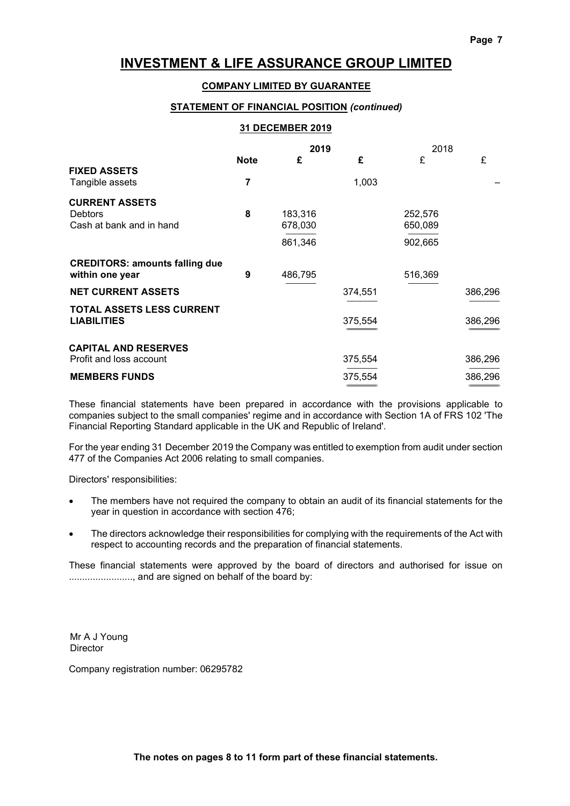#### COMPANY LIMITED BY GUARANTEE

#### STATEMENT OF FINANCIAL POSITION (continued)

#### 31 DECEMBER 2019 2019 2018 Note  $f = f$   $f = f$ FIXED ASSETS Tangible assets 7 1,003 CURRENT ASSETS Debtors 8 183,316 252,576 Cash at bank and in hand 678,030 650,089 --------------------------------- ---------------------------------  $861,346$  902,665 CREDITORS: amounts falling due within one year **9** 486,795 516,369 --------------------------------- --------------------------------- NET CURRENT ASSETS 374,551 386,296 --------------------------------- --------------------------------- TOTAL ASSETS LESS CURRENT LIABILITIES 375,554 386,296 ================================= ================================= CAPITAL AND RESERVES Profit and loss account 375,554 386,296 --------------------------------- --------------------------------- **MEMBERS FUNDS** 375.554 386.296

These financial statements have been prepared in accordance with the provisions applicable to companies subject to the small companies' regime and in accordance with Section 1A of FRS 102 'The Financial Reporting Standard applicable in the UK and Republic of Ireland'.

================================= =================================

For the year ending 31 December 2019 the Company was entitled to exemption from audit under section 477 of the Companies Act 2006 relating to small companies.

Directors' responsibilities:

- The members have not required the company to obtain an audit of its financial statements for the year in question in accordance with section 476;
- The directors acknowledge their responsibilities for complying with the requirements of the Act with respect to accounting records and the preparation of financial statements.

These financial statements were approved by the board of directors and authorised for issue on .........................., and are signed on behalf of the board by:

Mr A J Young **Director** 

Company registration number: 06295782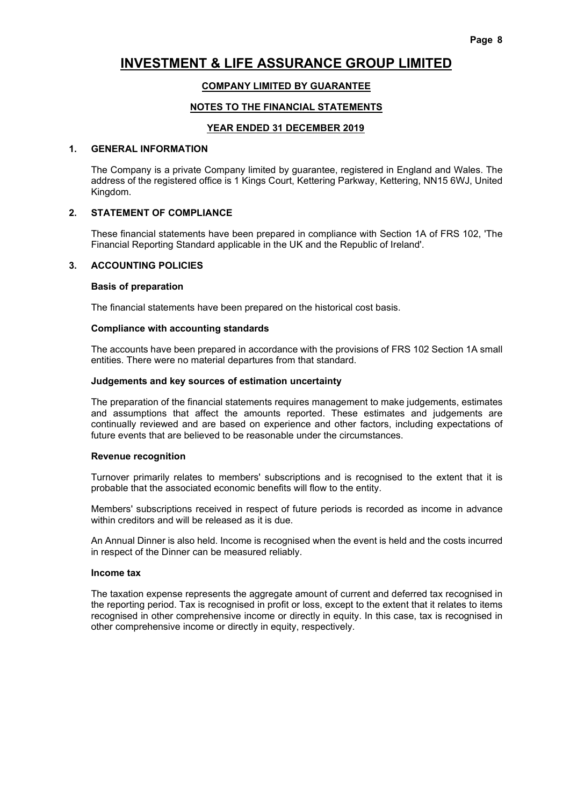### COMPANY LIMITED BY GUARANTEE

#### NOTES TO THE FINANCIAL STATEMENTS

#### YEAR ENDED 31 DECEMBER 2019

#### 1. GENERAL INFORMATION

 The Company is a private Company limited by guarantee, registered in England and Wales. The address of the registered office is 1 Kings Court, Kettering Parkway, Kettering, NN15 6WJ, United Kingdom.

#### 2. STATEMENT OF COMPLIANCE

 These financial statements have been prepared in compliance with Section 1A of FRS 102, 'The Financial Reporting Standard applicable in the UK and the Republic of Ireland'.

#### 3. ACCOUNTING POLICIES

#### Basis of preparation

The financial statements have been prepared on the historical cost basis.

#### Compliance with accounting standards

 The accounts have been prepared in accordance with the provisions of FRS 102 Section 1A small entities. There were no material departures from that standard.

#### Judgements and key sources of estimation uncertainty

 The preparation of the financial statements requires management to make judgements, estimates and assumptions that affect the amounts reported. These estimates and judgements are continually reviewed and are based on experience and other factors, including expectations of future events that are believed to be reasonable under the circumstances.

#### Revenue recognition

 Turnover primarily relates to members' subscriptions and is recognised to the extent that it is probable that the associated economic benefits will flow to the entity.

 Members' subscriptions received in respect of future periods is recorded as income in advance within creditors and will be released as it is due.

 An Annual Dinner is also held. Income is recognised when the event is held and the costs incurred in respect of the Dinner can be measured reliably.

#### Income tax

 The taxation expense represents the aggregate amount of current and deferred tax recognised in the reporting period. Tax is recognised in profit or loss, except to the extent that it relates to items recognised in other comprehensive income or directly in equity. In this case, tax is recognised in other comprehensive income or directly in equity, respectively.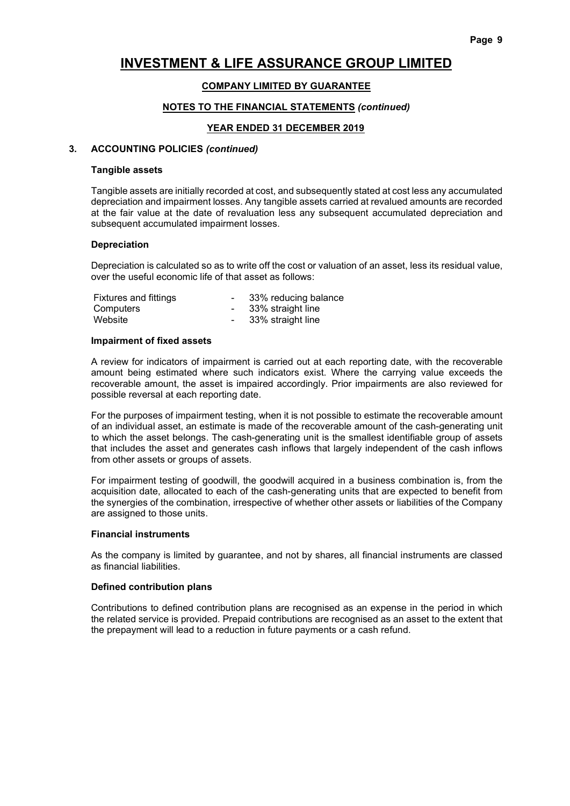#### COMPANY LIMITED BY GUARANTEE

#### NOTES TO THE FINANCIAL STATEMENTS (continued)

#### YEAR ENDED 31 DECEMBER 2019

#### 3. ACCOUNTING POLICIES (continued)

#### Tangible assets

 Tangible assets are initially recorded at cost, and subsequently stated at cost less any accumulated depreciation and impairment losses. Any tangible assets carried at revalued amounts are recorded at the fair value at the date of revaluation less any subsequent accumulated depreciation and subsequent accumulated impairment losses.

#### Depreciation

 Depreciation is calculated so as to write off the cost or valuation of an asset, less its residual value, over the useful economic life of that asset as follows:

| <b>Fixtures and fittings</b> | 33% reducing balance |
|------------------------------|----------------------|
| Computers                    | 33% straight line    |
| Website                      | 33% straight line    |

#### Impairment of fixed assets

 A review for indicators of impairment is carried out at each reporting date, with the recoverable amount being estimated where such indicators exist. Where the carrying value exceeds the recoverable amount, the asset is impaired accordingly. Prior impairments are also reviewed for possible reversal at each reporting date.

 For the purposes of impairment testing, when it is not possible to estimate the recoverable amount of an individual asset, an estimate is made of the recoverable amount of the cash-generating unit to which the asset belongs. The cash-generating unit is the smallest identifiable group of assets that includes the asset and generates cash inflows that largely independent of the cash inflows from other assets or groups of assets.

 For impairment testing of goodwill, the goodwill acquired in a business combination is, from the acquisition date, allocated to each of the cash-generating units that are expected to benefit from the synergies of the combination, irrespective of whether other assets or liabilities of the Company are assigned to those units.

#### Financial instruments

 As the company is limited by guarantee, and not by shares, all financial instruments are classed as financial liabilities.

#### Defined contribution plans

 Contributions to defined contribution plans are recognised as an expense in the period in which the related service is provided. Prepaid contributions are recognised as an asset to the extent that the prepayment will lead to a reduction in future payments or a cash refund.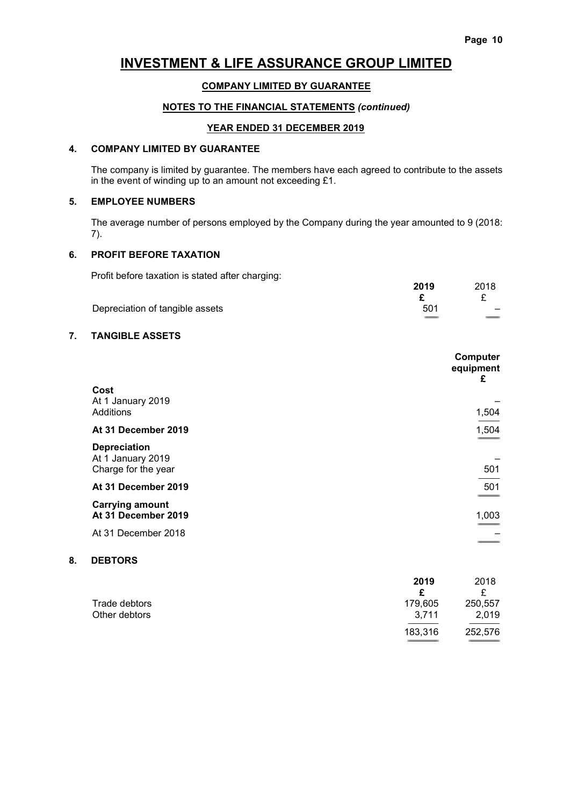#### COMPANY LIMITED BY GUARANTEE

### NOTES TO THE FINANCIAL STATEMENTS (continued)

#### YEAR ENDED 31 DECEMBER 2019

#### 4. COMPANY LIMITED BY GUARANTEE

 The company is limited by guarantee. The members have each agreed to contribute to the assets in the event of winding up to an amount not exceeding £1.

#### 5. EMPLOYEE NUMBERS

 The average number of persons employed by the Company during the year amounted to 9 (2018: 7).

#### 6. PROFIT BEFORE TAXATION

Profit before taxation is stated after charging:

| - -                             | 2019 | 2018                     |
|---------------------------------|------|--------------------------|
|                                 |      |                          |
| Depreciation of tangible assets | 501  | $\overline{\phantom{m}}$ |
|                                 | ____ | ______                   |

### 7. TANGIBLE ASSETS

|                                          | Computer<br>equipment<br>£ |
|------------------------------------------|----------------------------|
| Cost                                     |                            |
| At 1 January 2019                        |                            |
| Additions                                | 1,504                      |
| At 31 December 2019                      | 1,504                      |
| <b>Depreciation</b><br>At 1 January 2019 |                            |
| Charge for the year                      | 501                        |
| At 31 December 2019                      | 501                        |
| <b>Carrying amount</b>                   |                            |
| At 31 December 2019                      | 1,003                      |
| At 31 December 2018                      |                            |
|                                          |                            |

### 8. DEBTORS

|               | 2019    | 2018    |
|---------------|---------|---------|
|               | c       | ₽       |
| Trade debtors | 179,605 | 250,557 |
| Other debtors | 3.711   | 2,019   |
|               | 183,316 | 252,576 |
|               |         |         |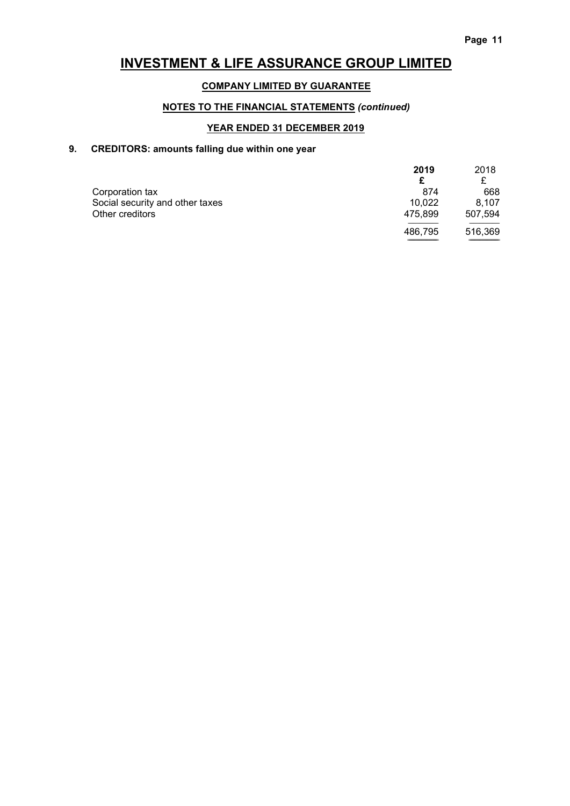### COMPANY LIMITED BY GUARANTEE

### NOTES TO THE FINANCIAL STATEMENTS (continued)

### YEAR ENDED 31 DECEMBER 2019

### 9. CREDITORS: amounts falling due within one year

|                                 | 2019    | 2018    |
|---------------------------------|---------|---------|
|                                 |         |         |
| Corporation tax                 | 874     | 668     |
| Social security and other taxes | 10.022  | 8.107   |
| Other creditors                 | 475.899 | 507,594 |
|                                 | 486.795 | 516,369 |

================================= =================================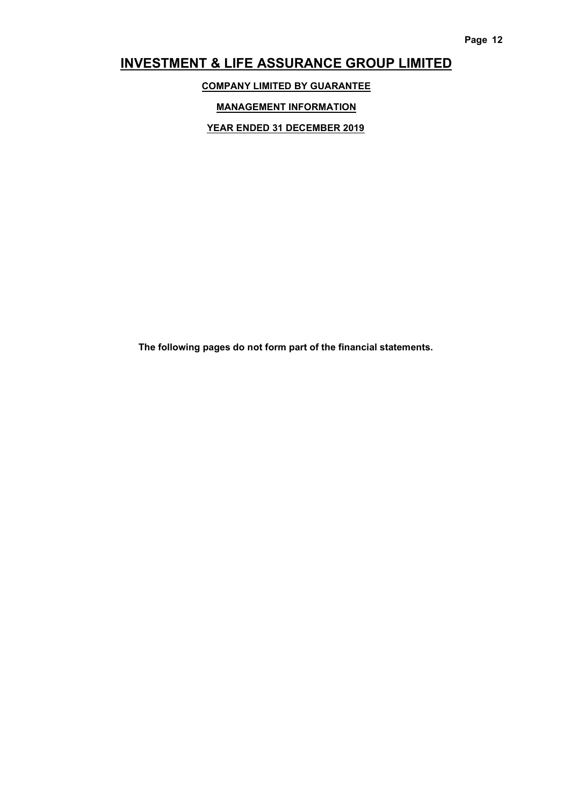COMPANY LIMITED BY GUARANTEE

MANAGEMENT INFORMATION

YEAR ENDED 31 DECEMBER 2019

The following pages do not form part of the financial statements.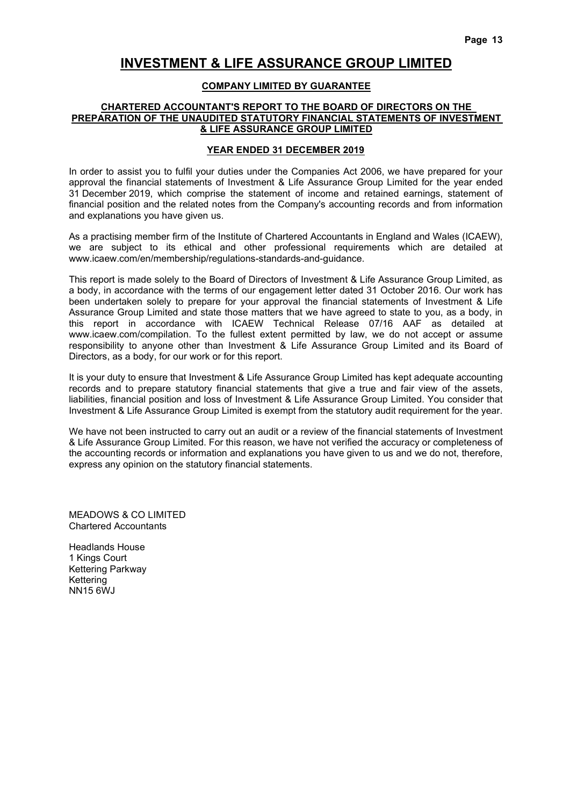#### COMPANY LIMITED BY GUARANTEE

#### CHARTERED ACCOUNTANT'S REPORT TO THE BOARD OF DIRECTORS ON THE PREPARATION OF THE UNAUDITED STATUTORY FINANCIAL STATEMENTS OF INVESTMENT & LIFE ASSURANCE GROUP LIMITED

#### YEAR ENDED 31 DECEMBER 2019

In order to assist you to fulfil your duties under the Companies Act 2006, we have prepared for your approval the financial statements of Investment & Life Assurance Group Limited for the year ended 31 December 2019, which comprise the statement of income and retained earnings, statement of financial position and the related notes from the Company's accounting records and from information and explanations you have given us.

As a practising member firm of the Institute of Chartered Accountants in England and Wales (ICAEW), we are subject to its ethical and other professional requirements which are detailed at www.icaew.com/en/membership/regulations-standards-and-guidance.

This report is made solely to the Board of Directors of Investment & Life Assurance Group Limited, as a body, in accordance with the terms of our engagement letter dated 31 October 2016. Our work has been undertaken solely to prepare for your approval the financial statements of Investment & Life Assurance Group Limited and state those matters that we have agreed to state to you, as a body, in this report in accordance with ICAEW Technical Release 07/16 AAF as detailed at www.icaew.com/compilation. To the fullest extent permitted by law, we do not accept or assume responsibility to anyone other than Investment & Life Assurance Group Limited and its Board of Directors, as a body, for our work or for this report.

It is your duty to ensure that Investment & Life Assurance Group Limited has kept adequate accounting records and to prepare statutory financial statements that give a true and fair view of the assets, liabilities, financial position and loss of Investment & Life Assurance Group Limited. You consider that Investment & Life Assurance Group Limited is exempt from the statutory audit requirement for the year.

We have not been instructed to carry out an audit or a review of the financial statements of Investment & Life Assurance Group Limited. For this reason, we have not verified the accuracy or completeness of the accounting records or information and explanations you have given to us and we do not, therefore, express any opinion on the statutory financial statements.

MEADOWS & CO LIMITED Chartered Accountants

Headlands House 1 Kings Court Kettering Parkway Kettering NN15 6WJ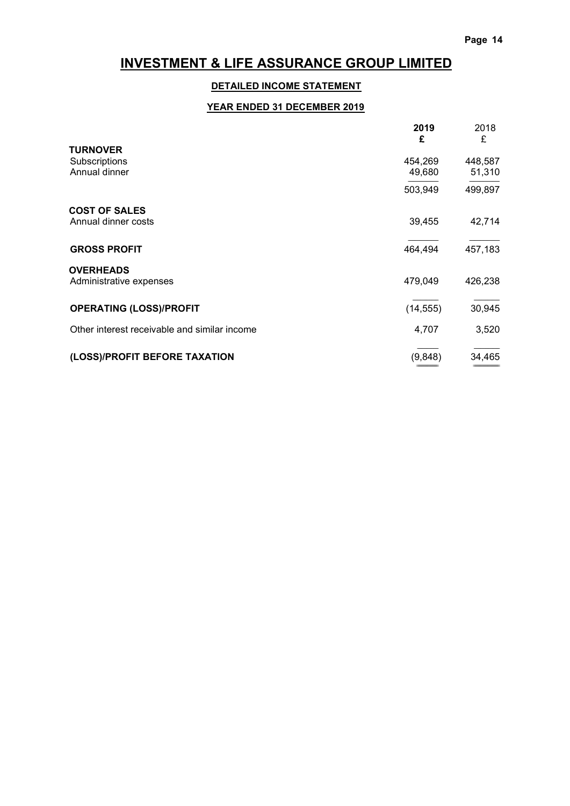======================= ============================

# INVESTMENT & LIFE ASSURANCE GROUP LIMITED

### DETAILED INCOME STATEMENT

## YEAR ENDED 31 DECEMBER 2019

|                                              | 2019<br>£ | 2018<br>£ |
|----------------------------------------------|-----------|-----------|
| <b>TURNOVER</b>                              |           |           |
| Subscriptions                                | 454,269   | 448,587   |
| Annual dinner                                | 49,680    | 51,310    |
|                                              | 503,949   | 499,897   |
| <b>COST OF SALES</b>                         |           |           |
| Annual dinner costs                          | 39,455    | 42,714    |
| <b>GROSS PROFIT</b>                          | 464,494   | 457,183   |
| <b>OVERHEADS</b>                             |           |           |
| Administrative expenses                      | 479,049   | 426,238   |
| <b>OPERATING (LOSS)/PROFIT</b>               | (14, 555) | 30,945    |
| Other interest receivable and similar income | 4,707     | 3,520     |
| (LOSS)/PROFIT BEFORE TAXATION                | (9,848)   | 34,465    |